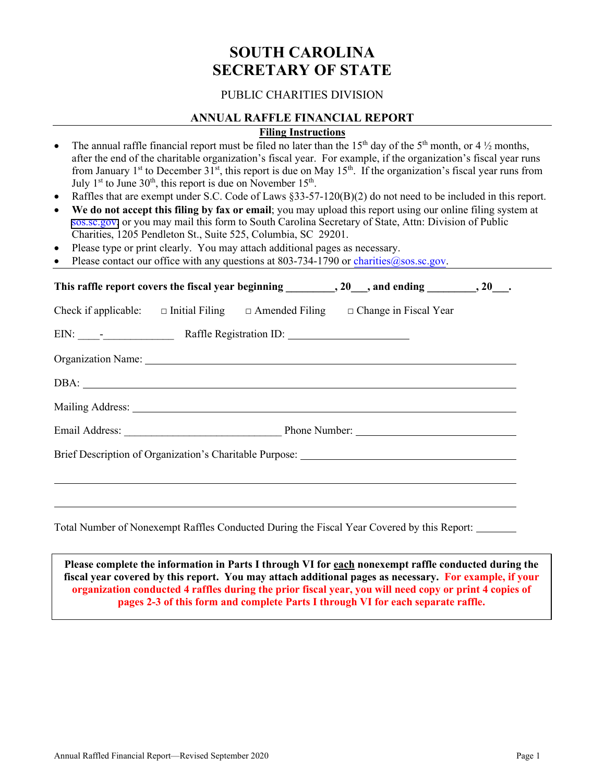# **SOUTH CAROLINA SECRETARY OF STATE**

# PUBLIC CHARITIES DIVISION

# **ANNUAL RAFFLE FINANCIAL REPORT**

# **Filing Instructions**

- The annual raffle financial report must be filed no later than the 15<sup>th</sup> day of the 5<sup>th</sup> month, or 4  $\frac{1}{2}$  months, after the end of the charitable organization's fiscal year. For example, if the organization's fiscal year runs from January 1<sup>st</sup> to December 31<sup>st</sup>, this report is due on May 15<sup>th</sup>. If the organization's fiscal year runs from July  $1<sup>st</sup>$  to June  $30<sup>th</sup>$ , this report is due on November  $15<sup>th</sup>$ .
- Raffles that are exempt under S.C. Code of Laws §33-57-120(B)(2) do not need to be included in this report.
- We do not accept this filing by fax or email; you may upload this report using our online filing system at [sos.sc.gov,](https://sos.sc.gov) or you may mail this form to South Carolina Secretary of State, Attn: Division of Public Charities, 1205 Pendleton St., Suite 525, Columbia, SC 29201.
- Please type or print clearly. You may attach additional pages as necessary.
- Please contact our office with any questions at  $803-734-1790$  or charities $@$ sos.sc.gov.

|  |  |  | Check if applicable: $\Box$ Initial Filing $\Box$ Amended Filing $\Box$ Change in Fiscal Year                                                                                                                                  |  |
|--|--|--|--------------------------------------------------------------------------------------------------------------------------------------------------------------------------------------------------------------------------------|--|
|  |  |  |                                                                                                                                                                                                                                |  |
|  |  |  |                                                                                                                                                                                                                                |  |
|  |  |  |                                                                                                                                                                                                                                |  |
|  |  |  | Mailing Address: National Address: National Address: National Address: National Address: National Address: National Address: National Address: National Address: National Address: National Address: National Address: Nationa |  |
|  |  |  |                                                                                                                                                                                                                                |  |
|  |  |  |                                                                                                                                                                                                                                |  |
|  |  |  |                                                                                                                                                                                                                                |  |
|  |  |  |                                                                                                                                                                                                                                |  |
|  |  |  |                                                                                                                                                                                                                                |  |

Total Number of Nonexempt Raffles Conducted During the Fiscal Year Covered by this Report:

**Please complete the information in Parts I through VI for each nonexempt raffle conducted during the fiscal year covered by this report. You may attach additional pages as necessary. For example, if your organization conducted 4 raffles during the prior fiscal year, you will need copy or print 4 copies of pages 2-3 of this form and complete Parts I through VI for each separate raffle.**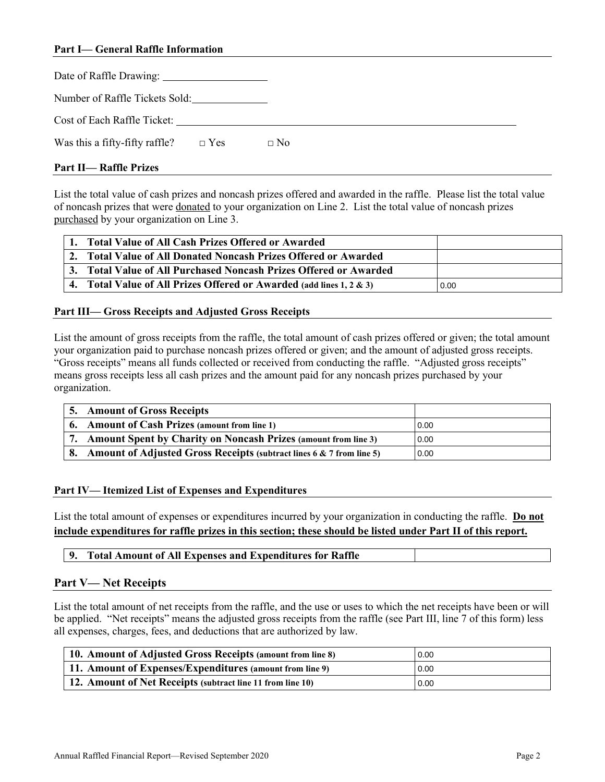## **Part I— General Raffle Information**

| Number of Raffle Tickets Sold:               |           |  |  |  |
|----------------------------------------------|-----------|--|--|--|
| Cost of Each Raffle Ticket:                  |           |  |  |  |
| Was this a fifty-fifty raffle? $\square$ Yes | $\Box$ No |  |  |  |

#### **Part II— Raffle Prizes**

List the total value of cash prizes and noncash prizes offered and awarded in the raffle. Please list the total value of noncash prizes that were donated to your organization on Line 2. List the total value of noncash prizes purchased by your organization on Line 3.

| 1. Total Value of All Cash Prizes Offered or Awarded                 |      |
|----------------------------------------------------------------------|------|
| 2. Total Value of All Donated Noncash Prizes Offered or Awarded      |      |
| 3. Total Value of All Purchased Noncash Prizes Offered or Awarded    |      |
| 4. Total Value of All Prizes Offered or Awarded (add lines 1, 2 & 3) | 0.00 |

#### **Part III— Gross Receipts and Adjusted Gross Receipts**

List the amount of gross receipts from the raffle, the total amount of cash prizes offered or given; the total amount your organization paid to purchase noncash prizes offered or given; and the amount of adjusted gross receipts. "Gross receipts" means all funds collected or received from conducting the raffle. "Adjusted gross receipts" means gross receipts less all cash prizes and the amount paid for any noncash prizes purchased by your organization.

| 5. Amount of Gross Receipts                                                     |      |
|---------------------------------------------------------------------------------|------|
| 6. Amount of Cash Prizes (amount from line 1)                                   | 0.00 |
| 7. Amount Spent by Charity on Noncash Prizes (amount from line 3)               | 0.00 |
| <b>Amount of Adjusted Gross Receipts (subtract lines 6 &amp; 7 from line 5)</b> | 0.00 |

#### **Part IV— Itemized List of Expenses and Expenditures**

List the total amount of expenses or expenditures incurred by your organization in conducting the raffle. **Do not include expenditures for raffle prizes in this section; these should be listed under Part II of this report.** 

## **Part V— Net Receipts**

List the total amount of net receipts from the raffle, and the use or uses to which the net receipts have been or will be applied. "Net receipts" means the adjusted gross receipts from the raffle (see Part III, line 7 of this form) less all expenses, charges, fees, and deductions that are authorized by law.

| 10. Amount of Adjusted Gross Receipts (amount from line 8) | 0.00 |
|------------------------------------------------------------|------|
| [11. Amount of Expenses/Expenditures (amount from line 9)  | 0.00 |
| 12. Amount of Net Receipts (subtract line 11 from line 10) | 0.00 |